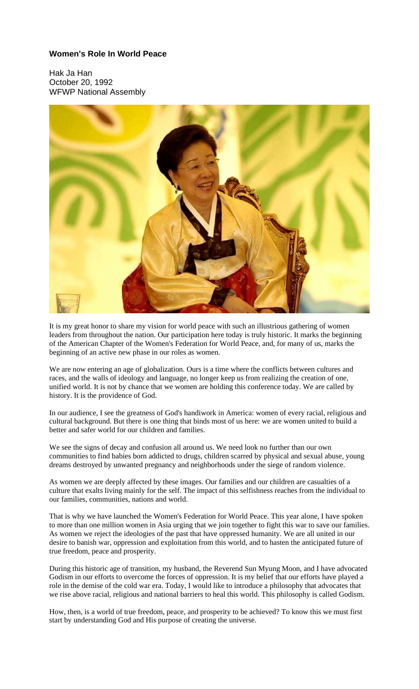# **Women's Role In World Peace**

Hak Ja Han October 20, 1992 WFWP National Assembly



It is my great honor to share my vision for world peace with such an illustrious gathering of women leaders from throughout the nation. Our participation here today is truly historic. It marks the beginning of the American Chapter of the Women's Federation for World Peace, and, for many of us, marks the beginning of an active new phase in our roles as women.

We are now entering an age of globalization. Ours is a time where the conflicts between cultures and races, and the walls of ideology and language, no longer keep us from realizing the creation of one, unified world. It is not by chance that we women are holding this conference today. We are called by history. It is the providence of God.

In our audience, I see the greatness of God's handiwork in America: women of every racial, religious and cultural background. But there is one thing that binds most of us here: we are women united to build a better and safer world for our children and families.

We see the signs of decay and confusion all around us. We need look no further than our own communities to find babies born addicted to drugs, children scarred by physical and sexual abuse, young dreams destroyed by unwanted pregnancy and neighborhoods under the siege of random violence.

As women we are deeply affected by these images. Our families and our children are casualties of a culture that exalts living mainly for the self. The impact of this selfishness reaches from the individual to our families, communities, nations and world.

That is why we have launched the Women's Federation for World Peace. This year alone, I have spoken to more than one million women in Asia urging that we join together to fight this war to save our families. As women we reject the ideologies of the past that have oppressed humanity. We are all united in our desire to banish war, oppression and exploitation from this world, and to hasten the anticipated future of true freedom, peace and prosperity.

During this historic age of transition, my husband, the Reverend Sun Myung Moon, and I have advocated Godism in our efforts to overcome the forces of oppression. It is my belief that our efforts have played a role in the demise of the cold war era. Today, I would like to introduce a philosophy that advocates that we rise above racial, religious and national barriers to heal this world. This philosophy is called Godism.

How, then, is a world of true freedom, peace, and prosperity to be achieved? To know this we must first start by understanding God and His purpose of creating the universe.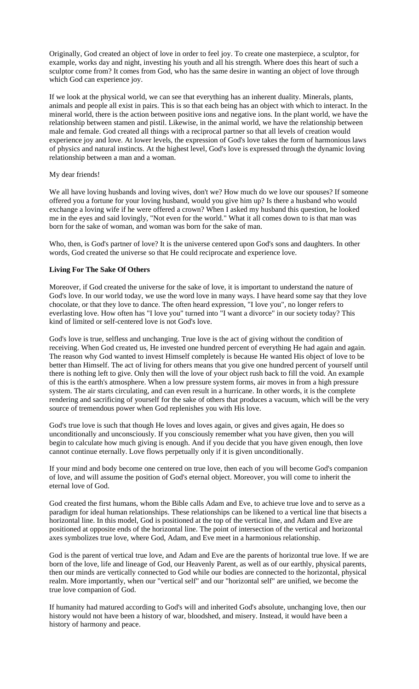Originally, God created an object of love in order to feel joy. To create one masterpiece, a sculptor, for example, works day and night, investing his youth and all his strength. Where does this heart of such a sculptor come from? It comes from God, who has the same desire in wanting an object of love through which God can experience joy.

If we look at the physical world, we can see that everything has an inherent duality. Minerals, plants, animals and people all exist in pairs. This is so that each being has an object with which to interact. In the mineral world, there is the action between positive ions and negative ions. In the plant world, we have the relationship between stamen and pistil. Likewise, in the animal world, we have the relationship between male and female. God created all things with a reciprocal partner so that all levels of creation would experience joy and love. At lower levels, the expression of God's love takes the form of harmonious laws of physics and natural instincts. At the highest level, God's love is expressed through the dynamic loving relationship between a man and a woman.

## My dear friends!

We all have loving husbands and loving wives, don't we? How much do we love our spouses? If someone offered you a fortune for your loving husband, would you give him up? Is there a husband who would exchange a loving wife if he were offered a crown? When I asked my husband this question, he looked me in the eyes and said lovingly, "Not even for the world." What it all comes down to is that man was born for the sake of woman, and woman was born for the sake of man.

Who, then, is God's partner of love? It is the universe centered upon God's sons and daughters. In other words, God created the universe so that He could reciprocate and experience love.

## **Living For The Sake Of Others**

Moreover, if God created the universe for the sake of love, it is important to understand the nature of God's love. In our world today, we use the word love in many ways. I have heard some say that they love chocolate, or that they love to dance. The often heard expression, "I love you", no longer refers to everlasting love. How often has "I love you" turned into "I want a divorce" in our society today? This kind of limited or self-centered love is not God's love.

God's love is true, selfless and unchanging. True love is the act of giving without the condition of receiving. When God created us, He invested one hundred percent of everything He had again and again. The reason why God wanted to invest Himself completely is because He wanted His object of love to be better than Himself. The act of living for others means that you give one hundred percent of yourself until there is nothing left to give. Only then will the love of your object rush back to fill the void. An example of this is the earth's atmosphere. When a low pressure system forms, air moves in from a high pressure system. The air starts circulating, and can even result in a hurricane. In other words, it is the complete rendering and sacrificing of yourself for the sake of others that produces a vacuum, which will be the very source of tremendous power when God replenishes you with His love.

God's true love is such that though He loves and loves again, or gives and gives again, He does so unconditionally and unconsciously. If you consciously remember what you have given, then you will begin to calculate how much giving is enough. And if you decide that you have given enough, then love cannot continue eternally. Love flows perpetually only if it is given unconditionally.

If your mind and body become one centered on true love, then each of you will become God's companion of love, and will assume the position of God's eternal object. Moreover, you will come to inherit the eternal love of God.

God created the first humans, whom the Bible calls Adam and Eve, to achieve true love and to serve as a paradigm for ideal human relationships. These relationships can be likened to a vertical line that bisects a horizontal line. In this model, God is positioned at the top of the vertical line, and Adam and Eve are positioned at opposite ends of the horizontal line. The point of intersection of the vertical and horizontal axes symbolizes true love, where God, Adam, and Eve meet in a harmonious relationship.

God is the parent of vertical true love, and Adam and Eve are the parents of horizontal true love. If we are born of the love, life and lineage of God, our Heavenly Parent, as well as of our earthly, physical parents, then our minds are vertically connected to God while our bodies are connected to the horizontal, physical realm. More importantly, when our "vertical self" and our "horizontal self" are unified, we become the true love companion of God.

If humanity had matured according to God's will and inherited God's absolute, unchanging love, then our history would not have been a history of war, bloodshed, and misery. Instead, it would have been a history of harmony and peace.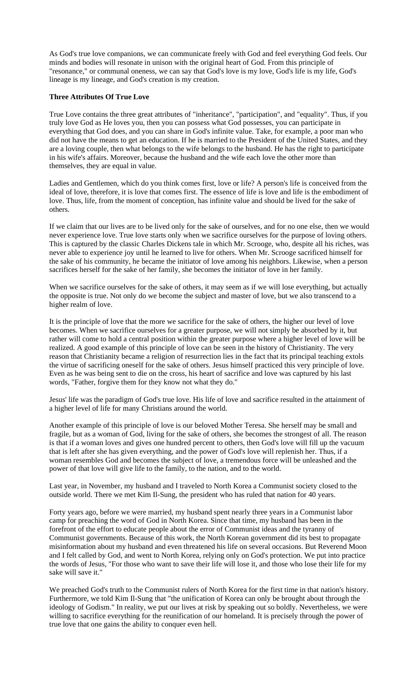As God's true love companions, we can communicate freely with God and feel everything God feels. Our minds and bodies will resonate in unison with the original heart of God. From this principle of "resonance," or communal oneness, we can say that God's love is my love, God's life is my life, God's lineage is my lineage, and God's creation is my creation.

## **Three Attributes Of True Love**

True Love contains the three great attributes of "inheritance", "participation", and "equality". Thus, if you truly love God as He loves you, then you can possess what God possesses, you can participate in everything that God does, and you can share in God's infinite value. Take, for example, a poor man who did not have the means to get an education. If he is married to the President of the United States, and they are a loving couple, then what belongs to the wife belongs to the husband. He has the right to participate in his wife's affairs. Moreover, because the husband and the wife each love the other more than themselves, they are equal in value.

Ladies and Gentlemen, which do you think comes first, love or life? A person's life is conceived from the ideal of love, therefore, it is love that comes first. The essence of life is love and life is the embodiment of love. Thus, life, from the moment of conception, has infinite value and should be lived for the sake of others.

If we claim that our lives are to be lived only for the sake of ourselves, and for no one else, then we would never experience love. True love starts only when we sacrifice ourselves for the purpose of loving others. This is captured by the classic Charles Dickens tale in which Mr. Scrooge, who, despite all his riches, was never able to experience joy until he learned to live for others. When Mr. Scrooge sacrificed himself for the sake of his community, he became the initiator of love among his neighbors. Likewise, when a person sacrifices herself for the sake of her family, she becomes the initiator of love in her family.

When we sacrifice ourselves for the sake of others, it may seem as if we will lose everything, but actually the opposite is true. Not only do we become the subject and master of love, but we also transcend to a higher realm of love.

It is the principle of love that the more we sacrifice for the sake of others, the higher our level of love becomes. When we sacrifice ourselves for a greater purpose, we will not simply be absorbed by it, but rather will come to hold a central position within the greater purpose where a higher level of love will be realized. A good example of this principle of love can be seen in the history of Christianity. The very reason that Christianity became a religion of resurrection lies in the fact that its principal teaching extols the virtue of sacrificing oneself for the sake of others. Jesus himself practiced this very principle of love. Even as he was being sent to die on the cross, his heart of sacrifice and love was captured by his last words, "Father, forgive them for they know not what they do."

Jesus' life was the paradigm of God's true love. His life of love and sacrifice resulted in the attainment of a higher level of life for many Christians around the world.

Another example of this principle of love is our beloved Mother Teresa. She herself may be small and fragile, but as a woman of God, living for the sake of others, she becomes the strongest of all. The reason is that if a woman loves and gives one hundred percent to others, then God's love will fill up the vacuum that is left after she has given everything, and the power of God's love will replenish her. Thus, if a woman resembles God and becomes the subject of love, a tremendous force will be unleashed and the power of that love will give life to the family, to the nation, and to the world.

Last year, in November, my husband and I traveled to North Korea a Communist society closed to the outside world. There we met Kim Il-Sung, the president who has ruled that nation for 40 years.

Forty years ago, before we were married, my husband spent nearly three years in a Communist labor camp for preaching the word of God in North Korea. Since that time, my husband has been in the forefront of the effort to educate people about the error of Communist ideas and the tyranny of Communist governments. Because of this work, the North Korean government did its best to propagate misinformation about my husband and even threatened his life on several occasions. But Reverend Moon and I felt called by God, and went to North Korea, relying only on God's protection. We put into practice the words of Jesus, "For those who want to save their life will lose it, and those who lose their life for my sake will save it."

We preached God's truth to the Communist rulers of North Korea for the first time in that nation's history. Furthermore, we told Kim Il-Sung that "the unification of Korea can only be brought about through the ideology of Godism." In reality, we put our lives at risk by speaking out so boldly. Nevertheless, we were willing to sacrifice everything for the reunification of our homeland. It is precisely through the power of true love that one gains the ability to conquer even hell.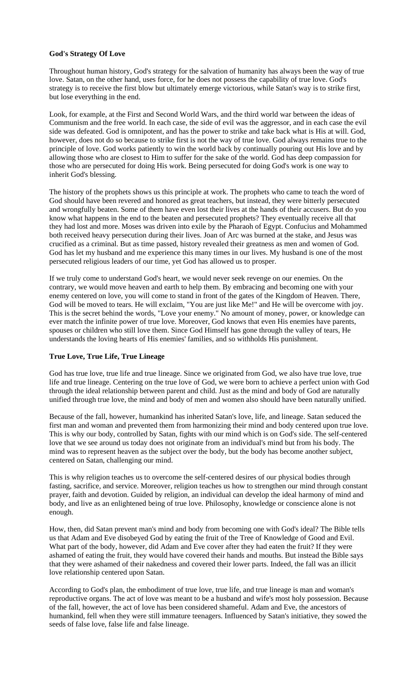## **God's Strategy Of Love**

Throughout human history, God's strategy for the salvation of humanity has always been the way of true love. Satan, on the other hand, uses force, for he does not possess the capability of true love. God's strategy is to receive the first blow but ultimately emerge victorious, while Satan's way is to strike first, but lose everything in the end.

Look, for example, at the First and Second World Wars, and the third world war between the ideas of Communism and the free world. In each case, the side of evil was the aggressor, and in each case the evil side was defeated. God is omnipotent, and has the power to strike and take back what is His at will. God, however, does not do so because to strike first is not the way of true love. God always remains true to the principle of love. God works patiently to win the world back by continually pouring out His love and by allowing those who are closest to Him to suffer for the sake of the world. God has deep compassion for those who are persecuted for doing His work. Being persecuted for doing God's work is one way to inherit God's blessing.

The history of the prophets shows us this principle at work. The prophets who came to teach the word of God should have been revered and honored as great teachers, but instead, they were bitterly persecuted and wrongfully beaten. Some of them have even lost their lives at the hands of their accusers. But do you know what happens in the end to the beaten and persecuted prophets? They eventually receive all that they had lost and more. Moses was driven into exile by the Pharaoh of Egypt. Confucius and Mohammed both received heavy persecution during their lives. Joan of Arc was burned at the stake, and Jesus was crucified as a criminal. But as time passed, history revealed their greatness as men and women of God. God has let my husband and me experience this many times in our lives. My husband is one of the most persecuted religious leaders of our time, yet God has allowed us to prosper.

If we truly come to understand God's heart, we would never seek revenge on our enemies. On the contrary, we would move heaven and earth to help them. By embracing and becoming one with your enemy centered on love, you will come to stand in front of the gates of the Kingdom of Heaven. There, God will be moved to tears. He will exclaim, "You are just like Me!" and He will be overcome with joy. This is the secret behind the words, "Love your enemy." No amount of money, power, or knowledge can ever match the infinite power of true love. Moreover, God knows that even His enemies have parents, spouses or children who still love them. Since God Himself has gone through the valley of tears, He understands the loving hearts of His enemies' families, and so withholds His punishment.

## **True Love, True Life, True Lineage**

God has true love, true life and true lineage. Since we originated from God, we also have true love, true life and true lineage. Centering on the true love of God, we were born to achieve a perfect union with God through the ideal relationship between parent and child. Just as the mind and body of God are naturally unified through true love, the mind and body of men and women also should have been naturally unified.

Because of the fall, however, humankind has inherited Satan's love, life, and lineage. Satan seduced the first man and woman and prevented them from harmonizing their mind and body centered upon true love. This is why our body, controlled by Satan, fights with our mind which is on God's side. The self-centered love that we see around us today does not originate from an individual's mind but from his body. The mind was to represent heaven as the subject over the body, but the body has become another subject, centered on Satan, challenging our mind.

This is why religion teaches us to overcome the self-centered desires of our physical bodies through fasting, sacrifice, and service. Moreover, religion teaches us how to strengthen our mind through constant prayer, faith and devotion. Guided by religion, an individual can develop the ideal harmony of mind and body, and live as an enlightened being of true love. Philosophy, knowledge or conscience alone is not enough.

How, then, did Satan prevent man's mind and body from becoming one with God's ideal? The Bible tells us that Adam and Eve disobeyed God by eating the fruit of the Tree of Knowledge of Good and Evil. What part of the body, however, did Adam and Eve cover after they had eaten the fruit? If they were ashamed of eating the fruit, they would have covered their hands and mouths. But instead the Bible says that they were ashamed of their nakedness and covered their lower parts. Indeed, the fall was an illicit love relationship centered upon Satan.

According to God's plan, the embodiment of true love, true life, and true lineage is man and woman's reproductive organs. The act of love was meant to be a husband and wife's most holy possession. Because of the fall, however, the act of love has been considered shameful. Adam and Eve, the ancestors of humankind, fell when they were still immature teenagers. Influenced by Satan's initiative, they sowed the seeds of false love, false life and false lineage.